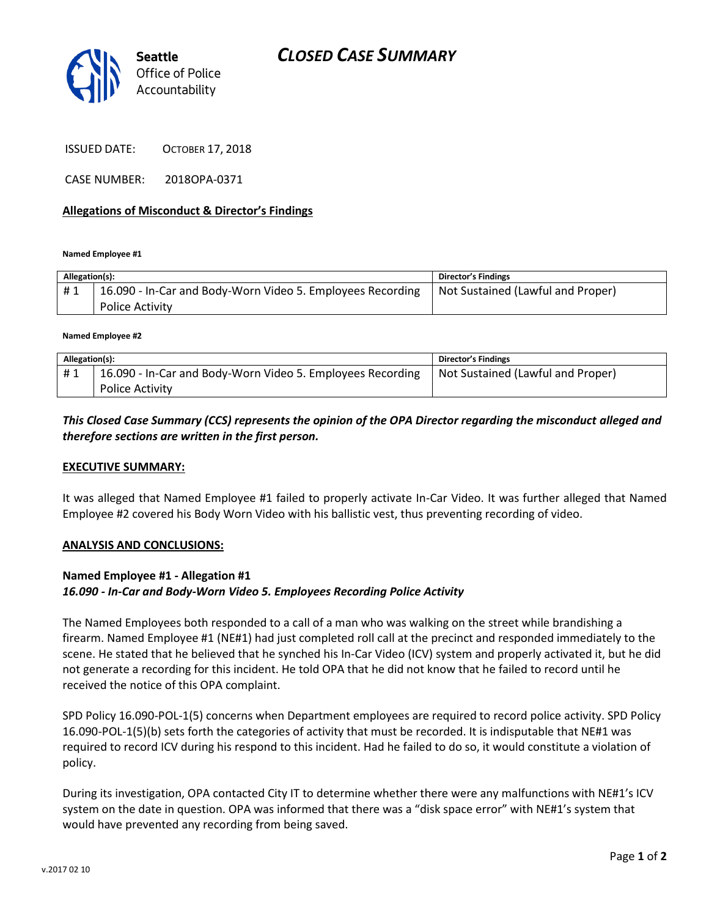# *CLOSED CASE SUMMARY*



ISSUED DATE: OCTOBER 17, 2018

CASE NUMBER: 2018OPA-0371

### **Allegations of Misconduct & Director's Findings**

**Named Employee #1**

| Allegation(s): |                                                                               | <b>Director's Findings</b>        |
|----------------|-------------------------------------------------------------------------------|-----------------------------------|
| #1             | 16.090 - In-Car and Body-Worn Video 5. Employees Recording<br>Police Activity | Not Sustained (Lawful and Proper) |

**Named Employee #2**

| Allegation(s): |                                                            | <b>Director's Findings</b>        |
|----------------|------------------------------------------------------------|-----------------------------------|
| #1             | 16.090 - In-Car and Body-Worn Video 5. Employees Recording | Not Sustained (Lawful and Proper) |
|                | <b>Police Activity</b>                                     |                                   |

## *This Closed Case Summary (CCS) represents the opinion of the OPA Director regarding the misconduct alleged and therefore sections are written in the first person.*

#### **EXECUTIVE SUMMARY:**

It was alleged that Named Employee #1 failed to properly activate In-Car Video. It was further alleged that Named Employee #2 covered his Body Worn Video with his ballistic vest, thus preventing recording of video.

#### **ANALYSIS AND CONCLUSIONS:**

## **Named Employee #1 - Allegation #1** *16.090 - In-Car and Body-Worn Video 5. Employees Recording Police Activity*

The Named Employees both responded to a call of a man who was walking on the street while brandishing a firearm. Named Employee #1 (NE#1) had just completed roll call at the precinct and responded immediately to the scene. He stated that he believed that he synched his In-Car Video (ICV) system and properly activated it, but he did not generate a recording for this incident. He told OPA that he did not know that he failed to record until he received the notice of this OPA complaint.

SPD Policy 16.090-POL-1(5) concerns when Department employees are required to record police activity. SPD Policy 16.090-POL-1(5)(b) sets forth the categories of activity that must be recorded. It is indisputable that NE#1 was required to record ICV during his respond to this incident. Had he failed to do so, it would constitute a violation of policy.

During its investigation, OPA contacted City IT to determine whether there were any malfunctions with NE#1's ICV system on the date in question. OPA was informed that there was a "disk space error" with NE#1's system that would have prevented any recording from being saved.